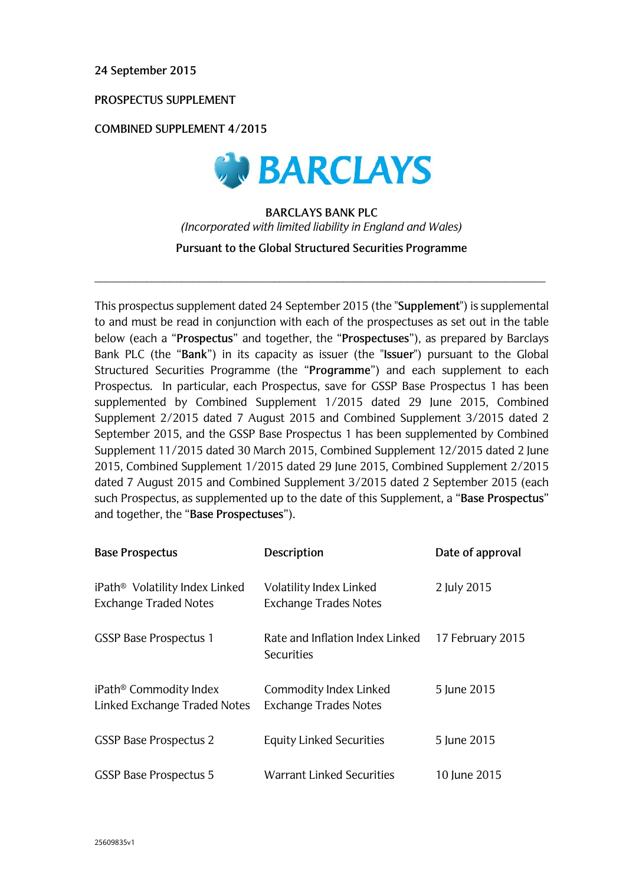**24 September 2015**

**PROSPECTUS SUPPLEMENT** 

**COMBINED SUPPLEMENT 4/2015**



## **BARCLAYS BANK PLC**  *(Incorporated with limited liability in England and Wales)* **Pursuant to the Global Structured Securities Programme**

\_\_\_\_\_\_\_\_\_\_\_\_\_\_\_\_\_\_\_\_\_\_\_\_\_\_\_\_\_\_\_\_\_\_\_\_\_\_\_\_\_\_\_\_\_\_\_\_\_\_\_\_\_\_\_\_\_\_\_\_\_\_\_\_\_\_\_\_\_\_\_\_\_\_\_\_\_\_

This prospectus supplement dated 24 September 2015 (the "**Supplement**") is supplemental to and must be read in conjunction with each of the prospectuses as set out in the table below (each a "**Prospectus**" and together, the "**Prospectuses**"), as prepared by Barclays Bank PLC (the "**Bank**") in its capacity as issuer (the "**Issuer**") pursuant to the Global Structured Securities Programme (the "**Programme**") and each supplement to each Prospectus. In particular, each Prospectus, save for GSSP Base Prospectus 1 has been supplemented by Combined Supplement 1/2015 dated 29 June 2015, Combined Supplement 2/2015 dated 7 August 2015 and Combined Supplement 3/2015 dated 2 September 2015, and the GSSP Base Prospectus 1 has been supplemented by Combined Supplement 11/2015 dated 30 March 2015, Combined Supplement 12/2015 dated 2 June 2015, Combined Supplement 1/2015 dated 29 June 2015, Combined Supplement 2/2015 dated 7 August 2015 and Combined Supplement 3/2015 dated 2 September 2015 (each such Prospectus, as supplemented up to the date of this Supplement, a "**Base Prospectus**" and together, the "**Base Prospectuses**").

| <b>Base Prospectus</b>                                                     | Description                                             | Date of approval |
|----------------------------------------------------------------------------|---------------------------------------------------------|------------------|
| iPath <sup>®</sup> Volatility Index Linked<br><b>Exchange Traded Notes</b> | Volatility Index Linked<br><b>Exchange Trades Notes</b> | 2 July 2015      |
| <b>GSSP Base Prospectus 1</b>                                              | Rate and Inflation Index Linked<br><b>Securities</b>    | 17 February 2015 |
| iPath <sup>®</sup> Commodity Index<br>Linked Exchange Traded Notes         | Commodity Index Linked<br><b>Exchange Trades Notes</b>  | 5 June 2015      |
| <b>GSSP Base Prospectus 2</b>                                              | <b>Equity Linked Securities</b>                         | 5 June 2015      |
| <b>GSSP Base Prospectus 5</b>                                              | Warrant Linked Securities                               | 10 June 2015     |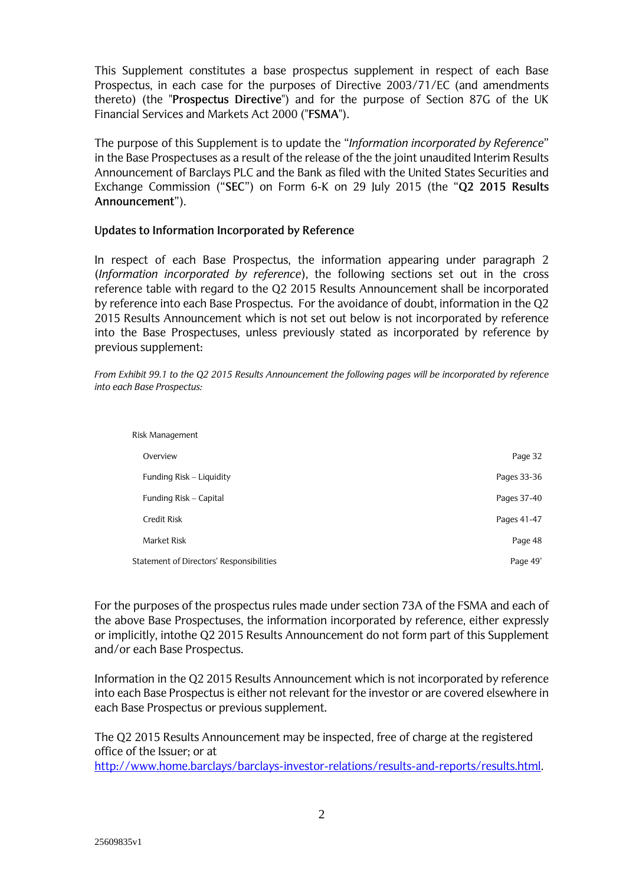This Supplement constitutes a base prospectus supplement in respect of each Base Prospectus, in each case for the purposes of Directive 2003/71/EC (and amendments thereto) (the "**Prospectus Directive**") and for the purpose of Section 87G of the UK Financial Services and Markets Act 2000 ("**FSMA**").

The purpose of this Supplement is to update the "*Information incorporated by Reference*" in the Base Prospectuses as a result of the release of the the joint unaudited Interim Results Announcement of Barclays PLC and the Bank as filed with the United States Securities and Exchange Commission ("**SEC**") on Form 6-K on 29 July 2015 (the "**Q2 2015 Results Announcement**").

## **Updates to Information Incorporated by Reference**

In respect of each Base Prospectus, the information appearing under paragraph 2 (*Information incorporated by reference*), the following sections set out in the cross reference table with regard to the Q2 2015 Results Announcement shall be incorporated by reference into each Base Prospectus. For the avoidance of doubt, information in the Q2 2015 Results Announcement which is not set out below is not incorporated by reference into the Base Prospectuses, unless previously stated as incorporated by reference by previous supplement:

*From Exhibit 99.1 to the Q2 2015 Results Announcement the following pages will be incorporated by reference into each Base Prospectus:*

| Risk Management                          |             |
|------------------------------------------|-------------|
| Overview                                 | Page 32     |
| Funding Risk – Liquidity                 | Pages 33-36 |
| Funding Risk - Capital                   | Pages 37-40 |
| <b>Credit Risk</b>                       | Pages 41-47 |
| Market Risk                              | Page 48     |
| Statement of Directors' Responsibilities | Page 49'    |

For the purposes of the prospectus rules made under section 73A of the FSMA and each of the above Base Prospectuses, the information incorporated by reference, either expressly or implicitly, intothe Q2 2015 Results Announcement do not form part of this Supplement and/or each Base Prospectus.

Information in the Q2 2015 Results Announcement which is not incorporated by reference into each Base Prospectus is either not relevant for the investor or are covered elsewhere in each Base Prospectus or previous supplement.

The Q2 2015 Results Announcement may be inspected, free of charge at the registered office of the Issuer; or at

http://www.home.barclays/barclays-investor-relations/results-and-reports/results.html.